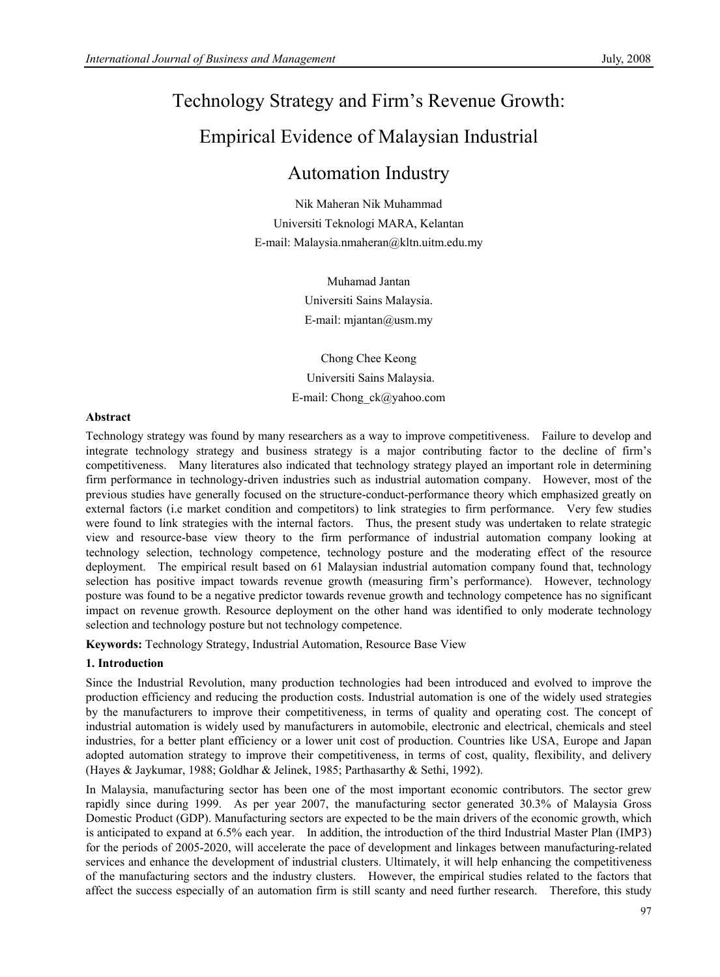# Technology Strategy and Firm's Revenue Growth: Empirical Evidence of Malaysian Industrial

# Automation Industry

Nik Maheran Nik Muhammad Universiti Teknologi MARA, Kelantan E-mail: Malaysia.nmaheran@kltn.uitm.edu.my

> Muhamad Jantan Universiti Sains Malaysia. E-mail: mjantan@usm.my

Chong Chee Keong Universiti Sains Malaysia. E-mail: Chong\_ck@yahoo.com

# **Abstract**

Technology strategy was found by many researchers as a way to improve competitiveness. Failure to develop and integrate technology strategy and business strategy is a major contributing factor to the decline of firm's competitiveness. Many literatures also indicated that technology strategy played an important role in determining firm performance in technology-driven industries such as industrial automation company. However, most of the previous studies have generally focused on the structure-conduct-performance theory which emphasized greatly on external factors (i.e market condition and competitors) to link strategies to firm performance. Very few studies were found to link strategies with the internal factors. Thus, the present study was undertaken to relate strategic view and resource-base view theory to the firm performance of industrial automation company looking at technology selection, technology competence, technology posture and the moderating effect of the resource deployment. The empirical result based on 61 Malaysian industrial automation company found that, technology selection has positive impact towards revenue growth (measuring firm's performance). However, technology posture was found to be a negative predictor towards revenue growth and technology competence has no significant impact on revenue growth. Resource deployment on the other hand was identified to only moderate technology selection and technology posture but not technology competence.

**Keywords:** Technology Strategy, Industrial Automation, Resource Base View

# **1. Introduction**

Since the Industrial Revolution, many production technologies had been introduced and evolved to improve the production efficiency and reducing the production costs. Industrial automation is one of the widely used strategies by the manufacturers to improve their competitiveness, in terms of quality and operating cost. The concept of industrial automation is widely used by manufacturers in automobile, electronic and electrical, chemicals and steel industries, for a better plant efficiency or a lower unit cost of production. Countries like USA, Europe and Japan adopted automation strategy to improve their competitiveness, in terms of cost, quality, flexibility, and delivery (Hayes & Jaykumar, 1988; Goldhar & Jelinek, 1985; Parthasarthy & Sethi, 1992).

In Malaysia, manufacturing sector has been one of the most important economic contributors. The sector grew rapidly since during 1999. As per year 2007, the manufacturing sector generated 30.3% of Malaysia Gross Domestic Product (GDP). Manufacturing sectors are expected to be the main drivers of the economic growth, which is anticipated to expand at 6.5% each year. In addition, the introduction of the third Industrial Master Plan (IMP3) for the periods of 2005-2020, will accelerate the pace of development and linkages between manufacturing-related services and enhance the development of industrial clusters. Ultimately, it will help enhancing the competitiveness of the manufacturing sectors and the industry clusters. However, the empirical studies related to the factors that affect the success especially of an automation firm is still scanty and need further research. Therefore, this study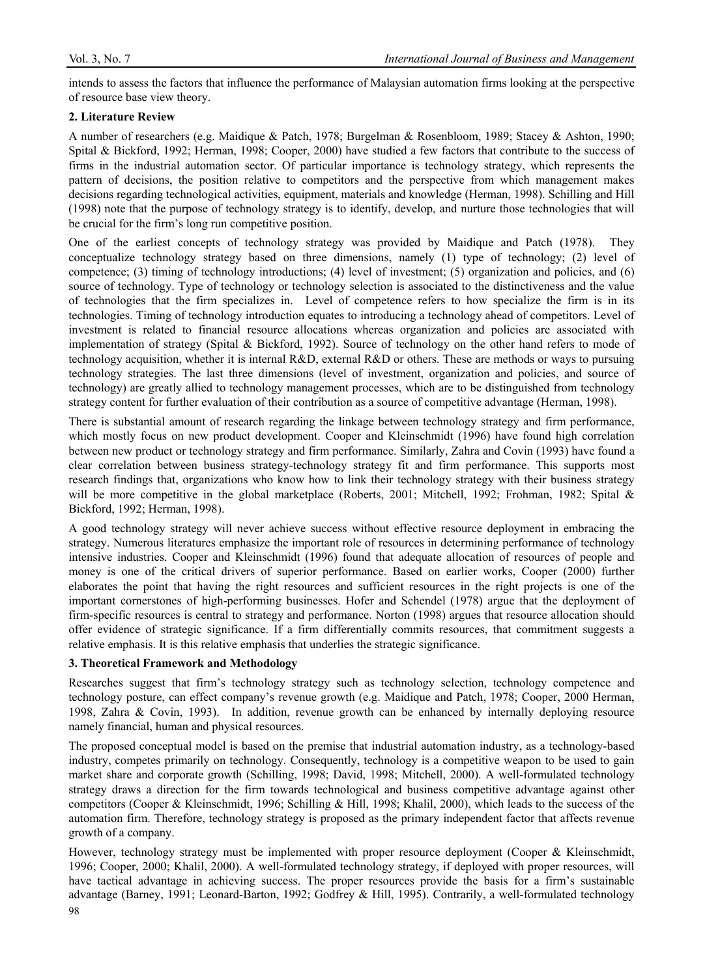intends to assess the factors that influence the performance of Malaysian automation firms looking at the perspective of resource base view theory.

# **2. Literature Review**

A number of researchers (e.g. Maidique & Patch, 1978; Burgelman & Rosenbloom, 1989; Stacey & Ashton, 1990; Spital & Bickford, 1992; Herman, 1998; Cooper, 2000) have studied a few factors that contribute to the success of firms in the industrial automation sector. Of particular importance is technology strategy, which represents the pattern of decisions, the position relative to competitors and the perspective from which management makes decisions regarding technological activities, equipment, materials and knowledge (Herman, 1998). Schilling and Hill (1998) note that the purpose of technology strategy is to identify, develop, and nurture those technologies that will be crucial for the firm's long run competitive position.

One of the earliest concepts of technology strategy was provided by Maidique and Patch (1978). They conceptualize technology strategy based on three dimensions, namely (1) type of technology; (2) level of competence; (3) timing of technology introductions; (4) level of investment; (5) organization and policies, and (6) source of technology. Type of technology or technology selection is associated to the distinctiveness and the value of technologies that the firm specializes in. Level of competence refers to how specialize the firm is in its technologies. Timing of technology introduction equates to introducing a technology ahead of competitors. Level of investment is related to financial resource allocations whereas organization and policies are associated with implementation of strategy (Spital & Bickford, 1992). Source of technology on the other hand refers to mode of technology acquisition, whether it is internal R&D, external R&D or others. These are methods or ways to pursuing technology strategies. The last three dimensions (level of investment, organization and policies, and source of technology) are greatly allied to technology management processes, which are to be distinguished from technology strategy content for further evaluation of their contribution as a source of competitive advantage (Herman, 1998).

There is substantial amount of research regarding the linkage between technology strategy and firm performance, which mostly focus on new product development. Cooper and Kleinschmidt (1996) have found high correlation between new product or technology strategy and firm performance. Similarly, Zahra and Covin (1993) have found a clear correlation between business strategy-technology strategy fit and firm performance. This supports most research findings that, organizations who know how to link their technology strategy with their business strategy will be more competitive in the global marketplace (Roberts, 2001; Mitchell, 1992; Frohman, 1982; Spital & Bickford, 1992; Herman, 1998).

A good technology strategy will never achieve success without effective resource deployment in embracing the strategy. Numerous literatures emphasize the important role of resources in determining performance of technology intensive industries. Cooper and Kleinschmidt (1996) found that adequate allocation of resources of people and money is one of the critical drivers of superior performance. Based on earlier works, Cooper (2000) further elaborates the point that having the right resources and sufficient resources in the right projects is one of the important cornerstones of high-performing businesses. Hofer and Schendel (1978) argue that the deployment of firm-specific resources is central to strategy and performance. Norton (1998) argues that resource allocation should offer evidence of strategic significance. If a firm differentially commits resources, that commitment suggests a relative emphasis. It is this relative emphasis that underlies the strategic significance.

#### **3. Theoretical Framework and Methodology**

Researches suggest that firm's technology strategy such as technology selection, technology competence and technology posture, can effect company's revenue growth (e.g. Maidique and Patch, 1978; Cooper, 2000 Herman, 1998, Zahra & Covin, 1993). In addition, revenue growth can be enhanced by internally deploying resource namely financial, human and physical resources.

The proposed conceptual model is based on the premise that industrial automation industry, as a technology-based industry, competes primarily on technology. Consequently, technology is a competitive weapon to be used to gain market share and corporate growth (Schilling, 1998; David, 1998; Mitchell, 2000). A well-formulated technology strategy draws a direction for the firm towards technological and business competitive advantage against other competitors (Cooper & Kleinschmidt, 1996; Schilling & Hill, 1998; Khalil, 2000), which leads to the success of the automation firm. Therefore, technology strategy is proposed as the primary independent factor that affects revenue growth of a company.

98 However, technology strategy must be implemented with proper resource deployment (Cooper & Kleinschmidt, 1996; Cooper, 2000; Khalil, 2000). A well-formulated technology strategy, if deployed with proper resources, will have tactical advantage in achieving success. The proper resources provide the basis for a firm's sustainable advantage (Barney, 1991; Leonard-Barton, 1992; Godfrey & Hill, 1995). Contrarily, a well-formulated technology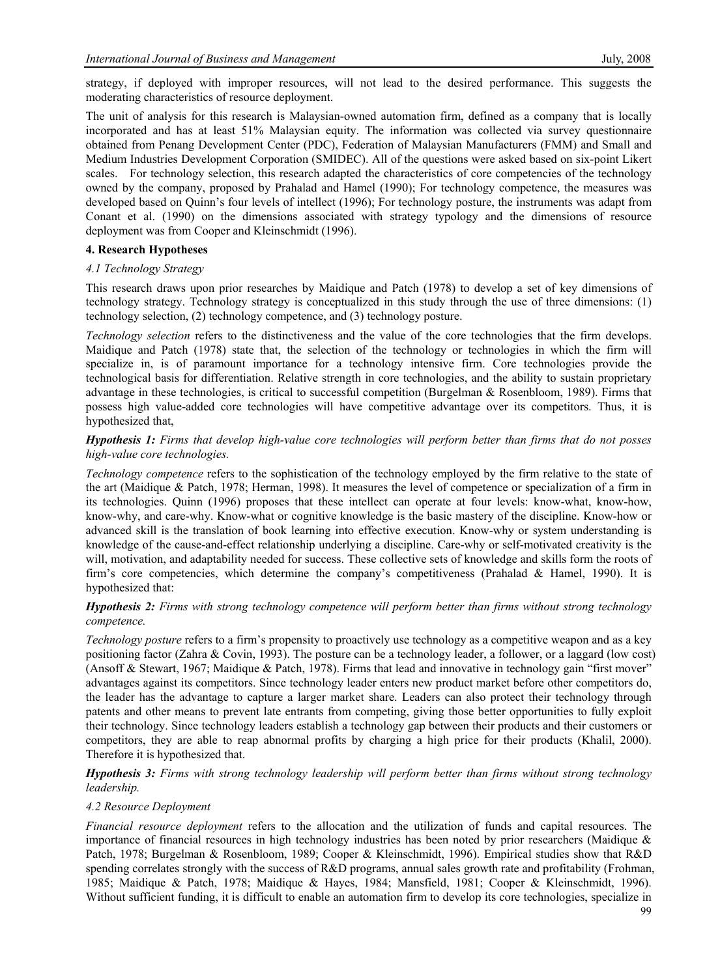strategy, if deployed with improper resources, will not lead to the desired performance. This suggests the moderating characteristics of resource deployment.

The unit of analysis for this research is Malaysian-owned automation firm, defined as a company that is locally incorporated and has at least 51% Malaysian equity. The information was collected via survey questionnaire obtained from Penang Development Center (PDC), Federation of Malaysian Manufacturers (FMM) and Small and Medium Industries Development Corporation (SMIDEC). All of the questions were asked based on six-point Likert scales. For technology selection, this research adapted the characteristics of core competencies of the technology owned by the company, proposed by Prahalad and Hamel (1990); For technology competence, the measures was developed based on Quinn's four levels of intellect (1996); For technology posture, the instruments was adapt from Conant et al. (1990) on the dimensions associated with strategy typology and the dimensions of resource deployment was from Cooper and Kleinschmidt (1996).

# **4. Research Hypotheses**

#### *4.1 Technology Strategy*

This research draws upon prior researches by Maidique and Patch (1978) to develop a set of key dimensions of technology strategy. Technology strategy is conceptualized in this study through the use of three dimensions: (1) technology selection, (2) technology competence, and (3) technology posture.

*Technology selection* refers to the distinctiveness and the value of the core technologies that the firm develops. Maidique and Patch (1978) state that, the selection of the technology or technologies in which the firm will specialize in, is of paramount importance for a technology intensive firm. Core technologies provide the technological basis for differentiation. Relative strength in core technologies, and the ability to sustain proprietary advantage in these technologies, is critical to successful competition (Burgelman & Rosenbloom, 1989). Firms that possess high value-added core technologies will have competitive advantage over its competitors. Thus, it is hypothesized that,

# *Hypothesis 1: Firms that develop high-value core technologies will perform better than firms that do not posses high-value core technologies.*

*Technology competence* refers to the sophistication of the technology employed by the firm relative to the state of the art (Maidique & Patch, 1978; Herman, 1998). It measures the level of competence or specialization of a firm in its technologies. Quinn (1996) proposes that these intellect can operate at four levels: know-what, know-how, know-why, and care-why. Know-what or cognitive knowledge is the basic mastery of the discipline. Know-how or advanced skill is the translation of book learning into effective execution. Know-why or system understanding is knowledge of the cause-and-effect relationship underlying a discipline. Care-why or self-motivated creativity is the will, motivation, and adaptability needed for success. These collective sets of knowledge and skills form the roots of firm's core competencies, which determine the company's competitiveness (Prahalad & Hamel, 1990). It is hypothesized that:

# *Hypothesis 2: Firms with strong technology competence will perform better than firms without strong technology competence.*

*Technology posture* refers to a firm's propensity to proactively use technology as a competitive weapon and as a key positioning factor (Zahra & Covin, 1993). The posture can be a technology leader, a follower, or a laggard (low cost) (Ansoff & Stewart, 1967; Maidique & Patch, 1978). Firms that lead and innovative in technology gain "first mover" advantages against its competitors. Since technology leader enters new product market before other competitors do, the leader has the advantage to capture a larger market share. Leaders can also protect their technology through patents and other means to prevent late entrants from competing, giving those better opportunities to fully exploit their technology. Since technology leaders establish a technology gap between their products and their customers or competitors, they are able to reap abnormal profits by charging a high price for their products (Khalil, 2000). Therefore it is hypothesized that.

# *Hypothesis 3: Firms with strong technology leadership will perform better than firms without strong technology leadership.*

#### *4.2 Resource Deployment*

*Financial resource deployment* refers to the allocation and the utilization of funds and capital resources. The importance of financial resources in high technology industries has been noted by prior researchers (Maidique & Patch, 1978; Burgelman & Rosenbloom, 1989; Cooper & Kleinschmidt, 1996). Empirical studies show that R&D spending correlates strongly with the success of R&D programs, annual sales growth rate and profitability (Frohman, 1985; Maidique & Patch, 1978; Maidique & Hayes, 1984; Mansfield, 1981; Cooper & Kleinschmidt, 1996). Without sufficient funding, it is difficult to enable an automation firm to develop its core technologies, specialize in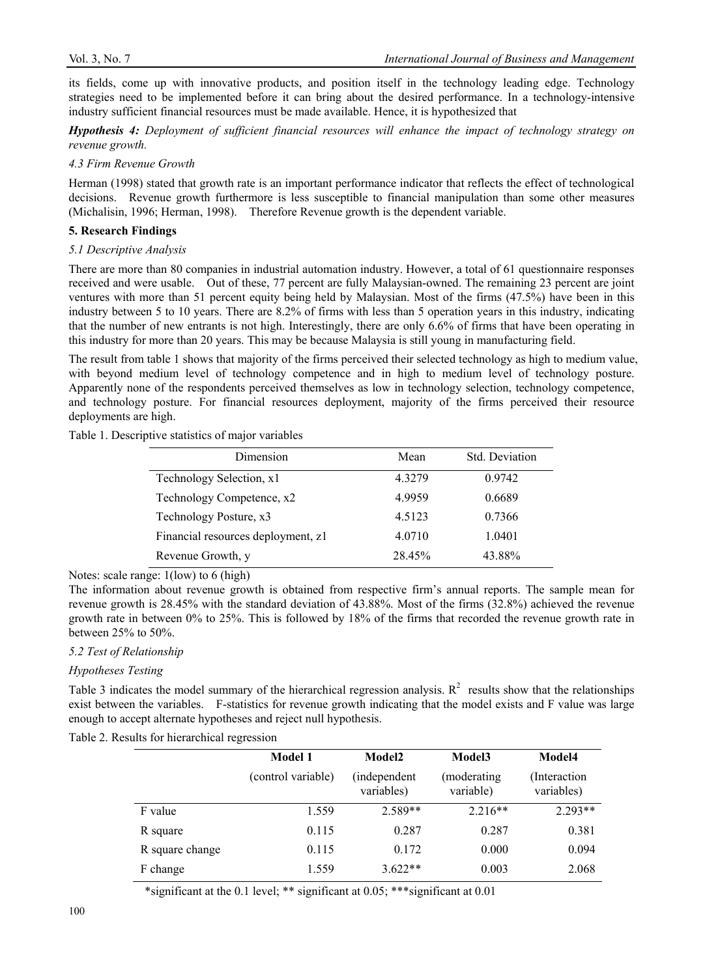its fields, come up with innovative products, and position itself in the technology leading edge. Technology strategies need to be implemented before it can bring about the desired performance. In a technology-intensive industry sufficient financial resources must be made available. Hence, it is hypothesized that

*Hypothesis 4: Deployment of sufficient financial resources will enhance the impact of technology strategy on revenue growth.* 

# *4.3 Firm Revenue Growth*

Herman (1998) stated that growth rate is an important performance indicator that reflects the effect of technological decisions. Revenue growth furthermore is less susceptible to financial manipulation than some other measures (Michalisin, 1996; Herman, 1998). Therefore Revenue growth is the dependent variable.

# **5. Research Findings**

# *5.1 Descriptive Analysis*

There are more than 80 companies in industrial automation industry. However, a total of 61 questionnaire responses received and were usable. Out of these, 77 percent are fully Malaysian-owned. The remaining 23 percent are joint ventures with more than 51 percent equity being held by Malaysian. Most of the firms (47.5%) have been in this industry between 5 to 10 years. There are 8.2% of firms with less than 5 operation years in this industry, indicating that the number of new entrants is not high. Interestingly, there are only 6.6% of firms that have been operating in this industry for more than 20 years. This may be because Malaysia is still young in manufacturing field.

The result from table 1 shows that majority of the firms perceived their selected technology as high to medium value, with beyond medium level of technology competence and in high to medium level of technology posture. Apparently none of the respondents perceived themselves as low in technology selection, technology competence, and technology posture. For financial resources deployment, majority of the firms perceived their resource deployments are high.

Table 1. Descriptive statistics of major variables

| Dimension                          | Mean      | Std. Deviation |
|------------------------------------|-----------|----------------|
| Technology Selection, x1           | 4 3 2 7 9 | 0.9742         |
| Technology Competence, x2          | 4.9959    | 0.6689         |
| Technology Posture, x3             | 4.5123    | 0.7366         |
| Financial resources deployment, z1 | 4.0710    | 1.0401         |
| Revenue Growth, y                  | 28 45%    | 43.88%         |

Notes: scale range: 1(low) to 6 (high)

The information about revenue growth is obtained from respective firm's annual reports. The sample mean for revenue growth is 28.45% with the standard deviation of 43.88%. Most of the firms (32.8%) achieved the revenue growth rate in between 0% to 25%. This is followed by 18% of the firms that recorded the revenue growth rate in between 25% to 50%.

#### *5.2 Test of Relationship*

# *Hypotheses Testing*

Table 3 indicates the model summary of the hierarchical regression analysis.  $R^2$  results show that the relationships exist between the variables. F-statistics for revenue growth indicating that the model exists and F value was large enough to accept alternate hypotheses and reject null hypothesis.

Table 2. Results for hierarchical regression

|                 | <b>Model 1</b>     | Model2                     | Model3                   | Model4                      |  |
|-----------------|--------------------|----------------------------|--------------------------|-----------------------------|--|
|                 | (control variable) | (independent<br>variables) | (moderating<br>variable) | (Interaction)<br>variables) |  |
| F value         | 1.559              | $2.589**$                  | $2.216**$                | $2.293**$                   |  |
| R square        | 0.115              | 0.287                      | 0.287                    | 0.381                       |  |
| R square change | 0.115              | 0.172                      | 0.000                    | 0.094                       |  |
| F change        | 1.559              | $3.622**$                  | 0.003                    | 2.068                       |  |

\*significant at the 0.1 level; \*\* significant at 0.05; \*\*\*significant at 0.01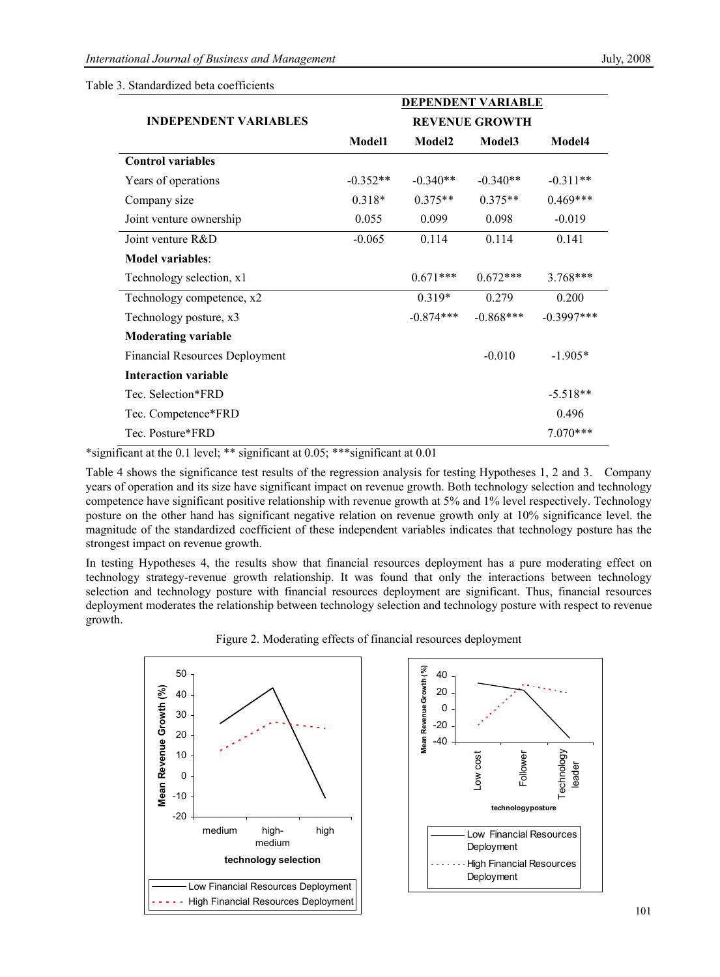#### Table 3. Standardized beta coefficients

| <b>DEPENDENT VARIABLE</b>             |            |                       |             |              |
|---------------------------------------|------------|-----------------------|-------------|--------------|
| <b>INDEPENDENT VARIABLES</b>          |            | <b>REVENUE GROWTH</b> |             |              |
|                                       | Model1     | Model <sub>2</sub>    | Model3      | Model4       |
| <b>Control variables</b>              |            |                       |             |              |
| Years of operations                   | $-0.352**$ | $-0.340**$            | $-0.340**$  | $-0.311**$   |
| Company size                          | $0.318*$   | $0.375**$             | $0.375**$   | $0.469***$   |
| Joint venture ownership               | 0.055      | 0.099                 | 0.098       | $-0.019$     |
| Joint venture R&D                     | $-0.065$   | 0.114                 | 0.114       | 0.141        |
| <b>Model variables:</b>               |            |                       |             |              |
| Technology selection, x1              |            | $0.671***$            | $0.672***$  | $3.768***$   |
| Technology competence, x2             |            | $0.319*$              | 0.279       | 0.200        |
| Technology posture, x3                |            | $-0.874***$           | $-0.868***$ | $-0.3997***$ |
| <b>Moderating variable</b>            |            |                       |             |              |
| <b>Financial Resources Deployment</b> |            |                       | $-0.010$    | $-1.905*$    |
| <b>Interaction variable</b>           |            |                       |             |              |
| Tec. Selection*FRD                    |            |                       |             | $-5.518**$   |
| Tec. Competence*FRD                   |            |                       |             | 0.496        |
| Tec. Posture*FRD                      |            |                       |             | $7.070***$   |

\*significant at the 0.1 level; \*\* significant at 0.05; \*\*\*significant at 0.01

Table 4 shows the significance test results of the regression analysis for testing Hypotheses 1, 2 and 3. Company years of operation and its size have significant impact on revenue growth. Both technology selection and technology competence have significant positive relationship with revenue growth at 5% and 1% level respectively. Technology posture on the other hand has significant negative relation on revenue growth only at 10% significance level. the magnitude of the standardized coefficient of these independent variables indicates that technology posture has the strongest impact on revenue growth.

In testing Hypotheses 4, the results show that financial resources deployment has a pure moderating effect on technology strategy-revenue growth relationship. It was found that only the interactions between technology selection and technology posture with financial resources deployment are significant. Thus, financial resources deployment moderates the relationship between technology selection and technology posture with respect to revenue growth.





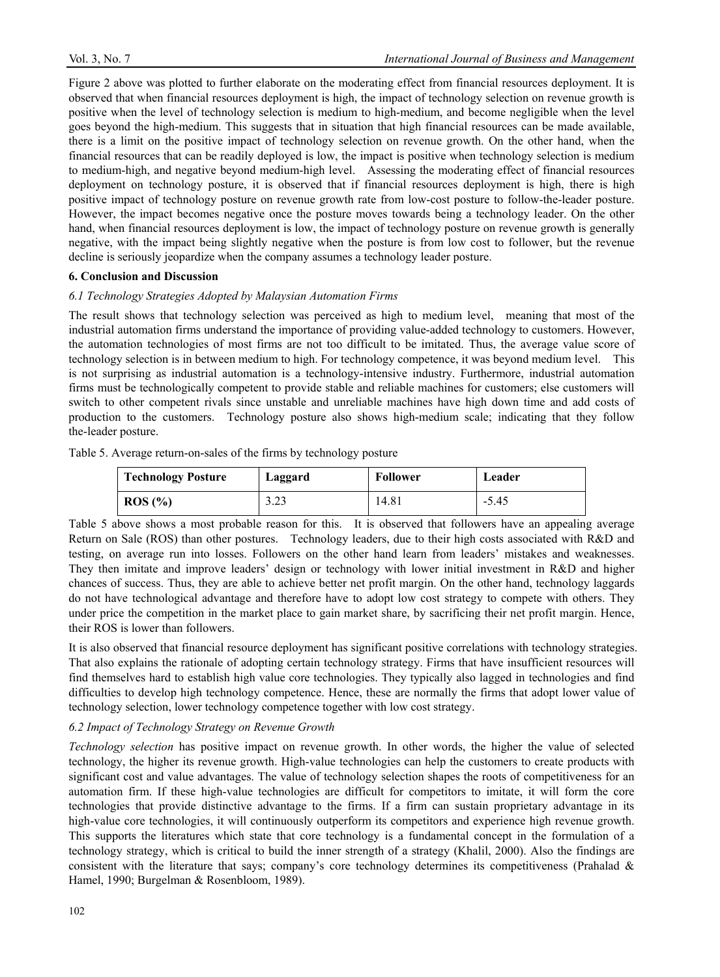Figure 2 above was plotted to further elaborate on the moderating effect from financial resources deployment. It is observed that when financial resources deployment is high, the impact of technology selection on revenue growth is positive when the level of technology selection is medium to high-medium, and become negligible when the level goes beyond the high-medium. This suggests that in situation that high financial resources can be made available, there is a limit on the positive impact of technology selection on revenue growth. On the other hand, when the financial resources that can be readily deployed is low, the impact is positive when technology selection is medium to medium-high, and negative beyond medium-high level. Assessing the moderating effect of financial resources deployment on technology posture, it is observed that if financial resources deployment is high, there is high positive impact of technology posture on revenue growth rate from low-cost posture to follow-the-leader posture. However, the impact becomes negative once the posture moves towards being a technology leader. On the other hand, when financial resources deployment is low, the impact of technology posture on revenue growth is generally negative, with the impact being slightly negative when the posture is from low cost to follower, but the revenue decline is seriously jeopardize when the company assumes a technology leader posture.

#### **6. Conclusion and Discussion**

# *6.1 Technology Strategies Adopted by Malaysian Automation Firms*

The result shows that technology selection was perceived as high to medium level, meaning that most of the industrial automation firms understand the importance of providing value-added technology to customers. However, the automation technologies of most firms are not too difficult to be imitated. Thus, the average value score of technology selection is in between medium to high. For technology competence, it was beyond medium level. This is not surprising as industrial automation is a technology-intensive industry. Furthermore, industrial automation firms must be technologically competent to provide stable and reliable machines for customers; else customers will switch to other competent rivals since unstable and unreliable machines have high down time and add costs of production to the customers. Technology posture also shows high-medium scale; indicating that they follow the-leader posture.

Table 5. Average return-on-sales of the firms by technology posture

| <b>Technology Posture</b> | Laggard | Follower | Leader  |
|---------------------------|---------|----------|---------|
| ROS (%)                   | 3.23    | 14.81    | $-5.45$ |

Table 5 above shows a most probable reason for this. It is observed that followers have an appealing average Return on Sale (ROS) than other postures. Technology leaders, due to their high costs associated with R&D and testing, on average run into losses. Followers on the other hand learn from leaders' mistakes and weaknesses. They then imitate and improve leaders' design or technology with lower initial investment in R&D and higher chances of success. Thus, they are able to achieve better net profit margin. On the other hand, technology laggards do not have technological advantage and therefore have to adopt low cost strategy to compete with others. They under price the competition in the market place to gain market share, by sacrificing their net profit margin. Hence, their ROS is lower than followers.

It is also observed that financial resource deployment has significant positive correlations with technology strategies. That also explains the rationale of adopting certain technology strategy. Firms that have insufficient resources will find themselves hard to establish high value core technologies. They typically also lagged in technologies and find difficulties to develop high technology competence. Hence, these are normally the firms that adopt lower value of technology selection, lower technology competence together with low cost strategy.

# *6.2 Impact of Technology Strategy on Revenue Growth*

*Technology selection* has positive impact on revenue growth. In other words, the higher the value of selected technology, the higher its revenue growth. High-value technologies can help the customers to create products with significant cost and value advantages. The value of technology selection shapes the roots of competitiveness for an automation firm. If these high-value technologies are difficult for competitors to imitate, it will form the core technologies that provide distinctive advantage to the firms. If a firm can sustain proprietary advantage in its high-value core technologies, it will continuously outperform its competitors and experience high revenue growth. This supports the literatures which state that core technology is a fundamental concept in the formulation of a technology strategy, which is critical to build the inner strength of a strategy (Khalil, 2000). Also the findings are consistent with the literature that says; company's core technology determines its competitiveness (Prahalad & Hamel, 1990; Burgelman & Rosenbloom, 1989).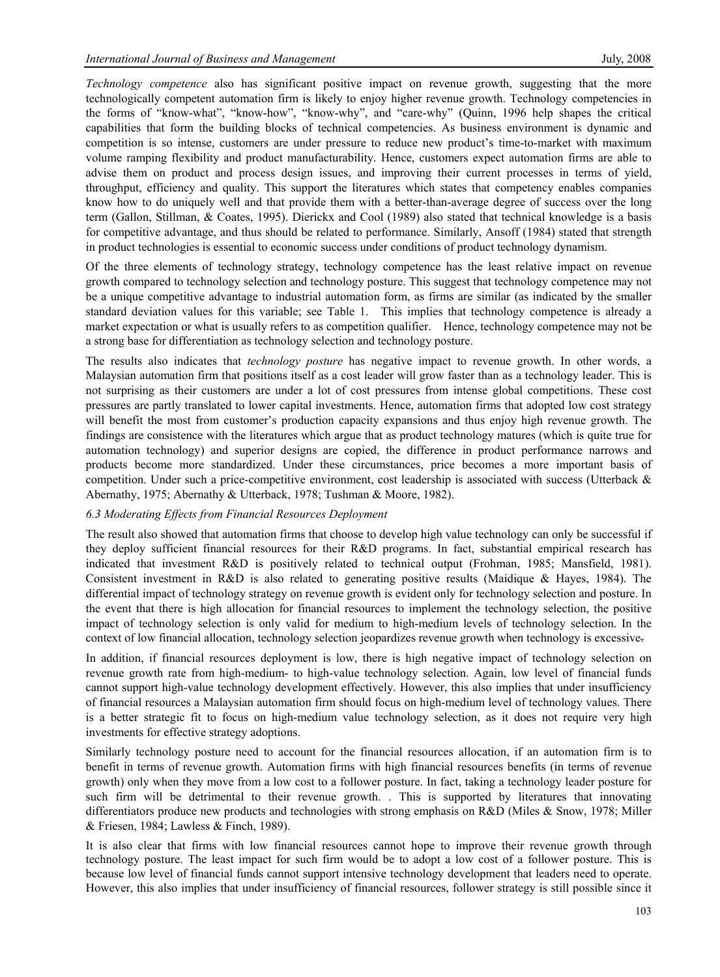*Technology competence* also has significant positive impact on revenue growth, suggesting that the more technologically competent automation firm is likely to enjoy higher revenue growth. Technology competencies in the forms of "know-what", "know-how", "know-why", and "care-why" (Quinn, 1996 help shapes the critical capabilities that form the building blocks of technical competencies. As business environment is dynamic and competition is so intense, customers are under pressure to reduce new product's time-to-market with maximum volume ramping flexibility and product manufacturability. Hence, customers expect automation firms are able to advise them on product and process design issues, and improving their current processes in terms of yield, throughput, efficiency and quality. This support the literatures which states that competency enables companies know how to do uniquely well and that provide them with a better-than-average degree of success over the long term (Gallon, Stillman, & Coates, 1995). Dierickx and Cool (1989) also stated that technical knowledge is a basis for competitive advantage, and thus should be related to performance. Similarly, Ansoff (1984) stated that strength in product technologies is essential to economic success under conditions of product technology dynamism.

Of the three elements of technology strategy, technology competence has the least relative impact on revenue growth compared to technology selection and technology posture. This suggest that technology competence may not be a unique competitive advantage to industrial automation form, as firms are similar (as indicated by the smaller standard deviation values for this variable; see Table 1. This implies that technology competence is already a market expectation or what is usually refers to as competition qualifier. Hence, technology competence may not be a strong base for differentiation as technology selection and technology posture.

The results also indicates that *technology posture* has negative impact to revenue growth. In other words, a Malaysian automation firm that positions itself as a cost leader will grow faster than as a technology leader. This is not surprising as their customers are under a lot of cost pressures from intense global competitions. These cost pressures are partly translated to lower capital investments. Hence, automation firms that adopted low cost strategy will benefit the most from customer's production capacity expansions and thus enjoy high revenue growth. The findings are consistence with the literatures which argue that as product technology matures (which is quite true for automation technology) and superior designs are copied, the difference in product performance narrows and products become more standardized. Under these circumstances, price becomes a more important basis of competition. Under such a price-competitive environment, cost leadership is associated with success (Utterback & Abernathy, 1975; Abernathy & Utterback, 1978; Tushman & Moore, 1982).

#### *6.3 Moderating Effects from Financial Resources Deployment*

The result also showed that automation firms that choose to develop high value technology can only be successful if they deploy sufficient financial resources for their R&D programs. In fact, substantial empirical research has indicated that investment R&D is positively related to technical output (Frohman, 1985; Mansfield, 1981). Consistent investment in R&D is also related to generating positive results (Maidique & Hayes, 1984). The differential impact of technology strategy on revenue growth is evident only for technology selection and posture. In the event that there is high allocation for financial resources to implement the technology selection, the positive impact of technology selection is only valid for medium to high-medium levels of technology selection. In the context of low financial allocation, technology selection jeopardizes revenue growth when technology is excessive.

In addition, if financial resources deployment is low, there is high negative impact of technology selection on revenue growth rate from high-medium- to high-value technology selection. Again, low level of financial funds cannot support high-value technology development effectively. However, this also implies that under insufficiency of financial resources a Malaysian automation firm should focus on high-medium level of technology values. There is a better strategic fit to focus on high-medium value technology selection, as it does not require very high investments for effective strategy adoptions.

Similarly technology posture need to account for the financial resources allocation, if an automation firm is to benefit in terms of revenue growth. Automation firms with high financial resources benefits (in terms of revenue growth) only when they move from a low cost to a follower posture. In fact, taking a technology leader posture for such firm will be detrimental to their revenue growth. . This is supported by literatures that innovating differentiators produce new products and technologies with strong emphasis on R&D (Miles & Snow, 1978; Miller & Friesen, 1984; Lawless & Finch, 1989).

It is also clear that firms with low financial resources cannot hope to improve their revenue growth through technology posture. The least impact for such firm would be to adopt a low cost of a follower posture. This is because low level of financial funds cannot support intensive technology development that leaders need to operate. However, this also implies that under insufficiency of financial resources, follower strategy is still possible since it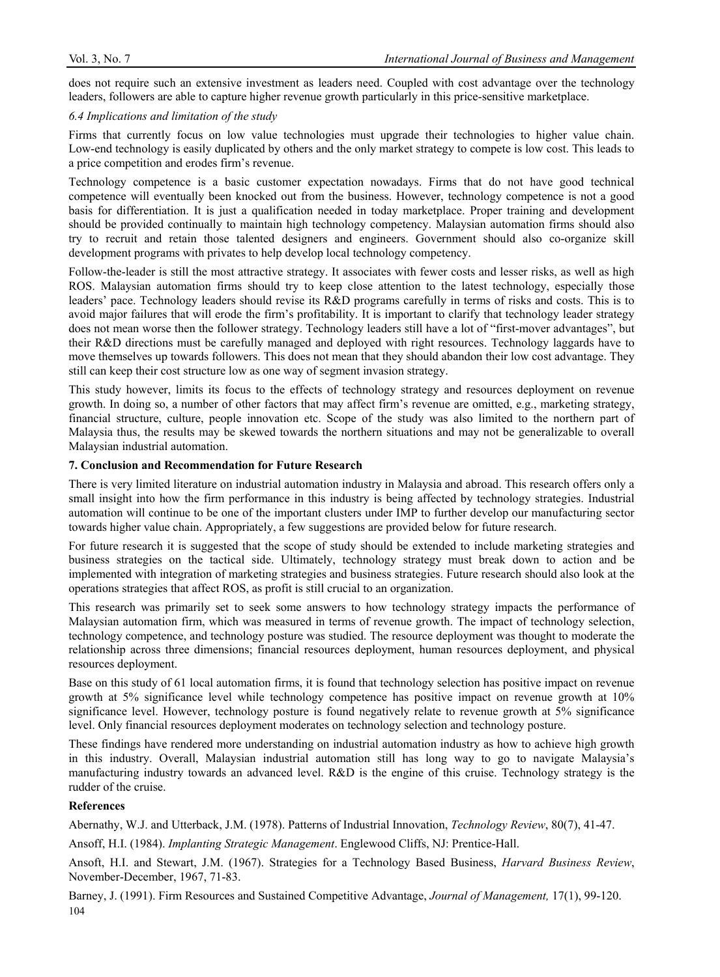does not require such an extensive investment as leaders need. Coupled with cost advantage over the technology leaders, followers are able to capture higher revenue growth particularly in this price-sensitive marketplace.

## *6.4 Implications and limitation of the study*

Firms that currently focus on low value technologies must upgrade their technologies to higher value chain. Low-end technology is easily duplicated by others and the only market strategy to compete is low cost. This leads to a price competition and erodes firm's revenue.

Technology competence is a basic customer expectation nowadays. Firms that do not have good technical competence will eventually been knocked out from the business. However, technology competence is not a good basis for differentiation. It is just a qualification needed in today marketplace. Proper training and development should be provided continually to maintain high technology competency. Malaysian automation firms should also try to recruit and retain those talented designers and engineers. Government should also co-organize skill development programs with privates to help develop local technology competency.

Follow-the-leader is still the most attractive strategy. It associates with fewer costs and lesser risks, as well as high ROS. Malaysian automation firms should try to keep close attention to the latest technology, especially those leaders' pace. Technology leaders should revise its R&D programs carefully in terms of risks and costs. This is to avoid major failures that will erode the firm's profitability. It is important to clarify that technology leader strategy does not mean worse then the follower strategy. Technology leaders still have a lot of "first-mover advantages", but their R&D directions must be carefully managed and deployed with right resources. Technology laggards have to move themselves up towards followers. This does not mean that they should abandon their low cost advantage. They still can keep their cost structure low as one way of segment invasion strategy.

This study however, limits its focus to the effects of technology strategy and resources deployment on revenue growth. In doing so, a number of other factors that may affect firm's revenue are omitted, e.g., marketing strategy, financial structure, culture, people innovation etc. Scope of the study was also limited to the northern part of Malaysia thus, the results may be skewed towards the northern situations and may not be generalizable to overall Malaysian industrial automation.

#### **7. Conclusion and Recommendation for Future Research**

There is very limited literature on industrial automation industry in Malaysia and abroad. This research offers only a small insight into how the firm performance in this industry is being affected by technology strategies. Industrial automation will continue to be one of the important clusters under IMP to further develop our manufacturing sector towards higher value chain. Appropriately, a few suggestions are provided below for future research.

For future research it is suggested that the scope of study should be extended to include marketing strategies and business strategies on the tactical side. Ultimately, technology strategy must break down to action and be implemented with integration of marketing strategies and business strategies. Future research should also look at the operations strategies that affect ROS, as profit is still crucial to an organization.

This research was primarily set to seek some answers to how technology strategy impacts the performance of Malaysian automation firm, which was measured in terms of revenue growth. The impact of technology selection, technology competence, and technology posture was studied. The resource deployment was thought to moderate the relationship across three dimensions; financial resources deployment, human resources deployment, and physical resources deployment.

Base on this study of 61 local automation firms, it is found that technology selection has positive impact on revenue growth at 5% significance level while technology competence has positive impact on revenue growth at 10% significance level. However, technology posture is found negatively relate to revenue growth at 5% significance level. Only financial resources deployment moderates on technology selection and technology posture.

These findings have rendered more understanding on industrial automation industry as how to achieve high growth in this industry. Overall, Malaysian industrial automation still has long way to go to navigate Malaysia's manufacturing industry towards an advanced level. R&D is the engine of this cruise. Technology strategy is the rudder of the cruise.

## **References**

Abernathy, W.J. and Utterback, J.M. (1978). Patterns of Industrial Innovation, *Technology Review*, 80(7), 41-47.

Ansoff, H.I. (1984). *Implanting Strategic Management*. Englewood Cliffs, NJ: Prentice-Hall.

Ansoft, H.I. and Stewart, J.M. (1967). Strategies for a Technology Based Business, *Harvard Business Review*, November-December, 1967, 71-83.

104 Barney, J. (1991). Firm Resources and Sustained Competitive Advantage, *Journal of Management,* 17(1), 99-120.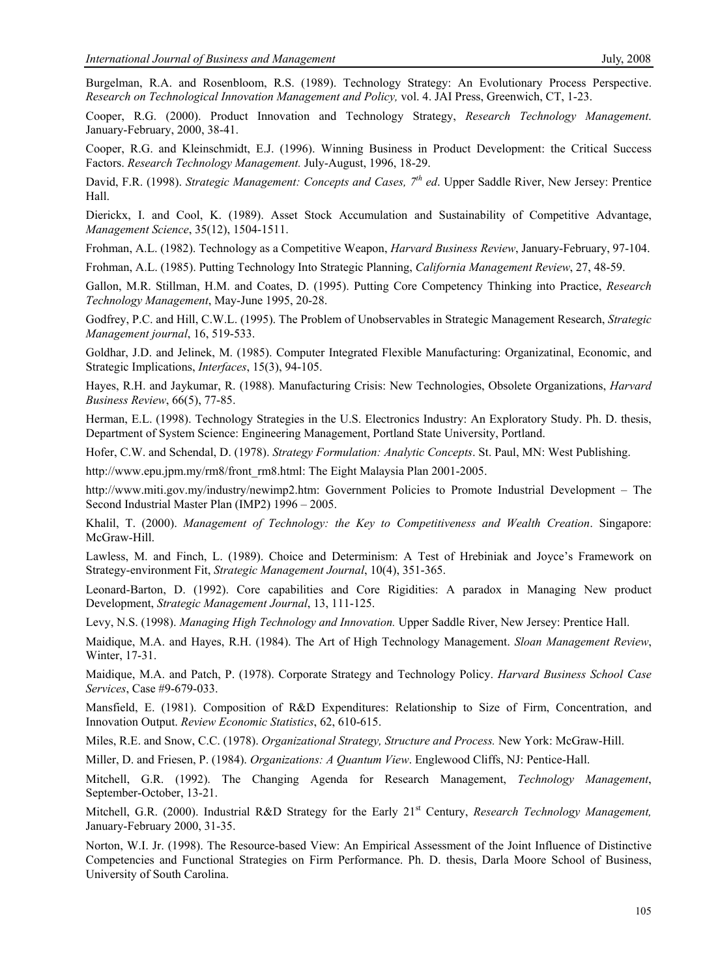Burgelman, R.A. and Rosenbloom, R.S. (1989). Technology Strategy: An Evolutionary Process Perspective. *Research on Technological Innovation Management and Policy,* vol. 4. JAI Press, Greenwich, CT, 1-23.

Cooper, R.G. (2000). Product Innovation and Technology Strategy, *Research Technology Management*. January-February, 2000, 38-41.

Cooper, R.G. and Kleinschmidt, E.J. (1996). Winning Business in Product Development: the Critical Success Factors. *Research Technology Management.* July-August, 1996, 18-29.

David, F.R. (1998). *Strategic Management: Concepts and Cases, 7th ed*. Upper Saddle River, New Jersey: Prentice Hall.

Dierickx, I. and Cool, K. (1989). Asset Stock Accumulation and Sustainability of Competitive Advantage, *Management Science*, 35(12), 1504-1511.

Frohman, A.L. (1982). Technology as a Competitive Weapon, *Harvard Business Review*, January-February, 97-104.

Frohman, A.L. (1985). Putting Technology Into Strategic Planning, *California Management Review*, 27, 48-59.

Gallon, M.R. Stillman, H.M. and Coates, D. (1995). Putting Core Competency Thinking into Practice, *Research Technology Management*, May-June 1995, 20-28.

Godfrey, P.C. and Hill, C.W.L. (1995). The Problem of Unobservables in Strategic Management Research, *Strategic Management journal*, 16, 519-533.

Goldhar, J.D. and Jelinek, M. (1985). Computer Integrated Flexible Manufacturing: Organizatinal, Economic, and Strategic Implications, *Interfaces*, 15(3), 94-105.

Hayes, R.H. and Jaykumar, R. (1988). Manufacturing Crisis: New Technologies, Obsolete Organizations, *Harvard Business Review*, 66(5), 77-85.

Herman, E.L. (1998). Technology Strategies in the U.S. Electronics Industry: An Exploratory Study. Ph. D. thesis, Department of System Science: Engineering Management, Portland State University, Portland.

Hofer, C.W. and Schendal, D. (1978). *Strategy Formulation: Analytic Concepts*. St. Paul, MN: West Publishing.

http://www.epu.jpm.my/rm8/front\_rm8.html: The Eight Malaysia Plan 2001-2005.

http://www.miti.gov.my/industry/newimp2.htm: Government Policies to Promote Industrial Development – The Second Industrial Master Plan (IMP2) 1996 – 2005.

Khalil, T. (2000). *Management of Technology: the Key to Competitiveness and Wealth Creation*. Singapore: McGraw-Hill.

Lawless, M. and Finch, L. (1989). Choice and Determinism: A Test of Hrebiniak and Joyce's Framework on Strategy-environment Fit, *Strategic Management Journal*, 10(4), 351-365.

Leonard-Barton, D. (1992). Core capabilities and Core Rigidities: A paradox in Managing New product Development, *Strategic Management Journal*, 13, 111-125.

Levy, N.S. (1998). *Managing High Technology and Innovation.* Upper Saddle River, New Jersey: Prentice Hall.

Maidique, M.A. and Hayes, R.H. (1984). The Art of High Technology Management. *Sloan Management Review*, Winter, 17-31.

Maidique, M.A. and Patch, P. (1978). Corporate Strategy and Technology Policy. *Harvard Business School Case Services*, Case #9-679-033.

Mansfield, E. (1981). Composition of R&D Expenditures: Relationship to Size of Firm, Concentration, and Innovation Output. *Review Economic Statistics*, 62, 610-615.

Miles, R.E. and Snow, C.C. (1978). *Organizational Strategy, Structure and Process.* New York: McGraw-Hill.

Miller, D. and Friesen, P. (1984). *Organizations: A Quantum View*. Englewood Cliffs, NJ: Pentice-Hall.

Mitchell, G.R. (1992). The Changing Agenda for Research Management, *Technology Management*, September-October, 13-21.

Mitchell, G.R. (2000). Industrial R&D Strategy for the Early 21<sup>st</sup> Century, *Research Technology Management*, January-February 2000, 31-35.

Norton, W.I. Jr. (1998). The Resource-based View: An Empirical Assessment of the Joint Influence of Distinctive Competencies and Functional Strategies on Firm Performance. Ph. D. thesis, Darla Moore School of Business, University of South Carolina.